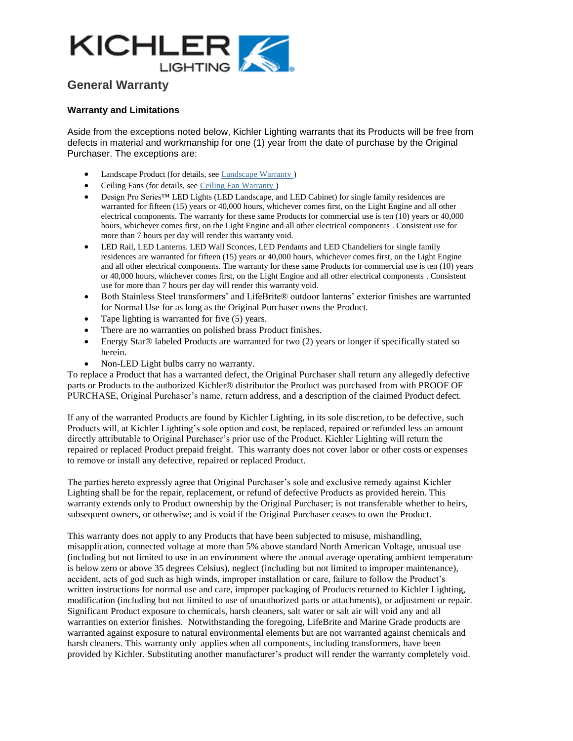

## **General Warranty**

## **Warranty and Limitations**

Aside from the exceptions noted below, Kichler Lighting warrants that its Products will be free from defects in material and workmanship for one (1) year from the date of purchase by the Original Purchaser. The exceptions are:

- Landscape Product (for details, see [Landscape Warranty](http://www.kichler.com/consumer/warranty_page/portlet_warranty/cms/begin?portlet_warrantyresource=/OpenCMS/sites/kichler.com/warranty/Landscape_Lighting_Warranty.html) )
- Ceiling Fans (for details, see [Ceiling Fan Warranty](http://www.kichler.com/consumer/warranty_page/portlet_warranty/cms/begin?portlet_warrantyresource=/OpenCMS/sites/kichler.com/warranty/Ceiling_Fan_Warranty.html))
- Design Pro Series™ LED Lights (LED Landscape, and LED Cabinet) for single family residences are warranted for fifteen (15) years or 40,000 hours, whichever comes first, on the Light Engine and all other electrical components. The warranty for these same Products for commercial use is ten (10) years or 40,000 hours, whichever comes first, on the Light Engine and all other electrical components . Consistent use for more than 7 hours per day will render this warranty void.
- LED Rail, LED Lanterns. LED Wall Sconces, LED Pendants and LED Chandeliers for single family residences are warranted for fifteen (15) years or 40,000 hours, whichever comes first, on the Light Engine and all other electrical components. The warranty for these same Products for commercial use is ten (10) years or 40,000 hours, whichever comes first, on the Light Engine and all other electrical components . Consistent use for more than 7 hours per day will render this warranty void.
- Both Stainless Steel transformers' and LifeBrite® outdoor lanterns' exterior finishes are warranted for Normal Use for as long as the Original Purchaser owns the Product.
- Tape lighting is warranted for five (5) years.
- There are no warranties on polished brass Product finishes.
- Energy Star<sup>®</sup> labeled Products are warranted for two (2) years or longer if specifically stated so herein.
- Non-LED Light bulbs carry no warranty.

To replace a Product that has a warranted defect, the Original Purchaser shall return any allegedly defective parts or Products to the authorized Kichler® distributor the Product was purchased from with PROOF OF PURCHASE, Original Purchaser's name, return address, and a description of the claimed Product defect.

If any of the warranted Products are found by Kichler Lighting, in its sole discretion, to be defective, such Products will, at Kichler Lighting's sole option and cost, be replaced, repaired or refunded less an amount directly attributable to Original Purchaser's prior use of the Product. Kichler Lighting will return the repaired or replaced Product prepaid freight. This warranty does not cover labor or other costs or expenses to remove or install any defective, repaired or replaced Product.

The parties hereto expressly agree that Original Purchaser's sole and exclusive remedy against Kichler Lighting shall be for the repair, replacement, or refund of defective Products as provided herein. This warranty extends only to Product ownership by the Original Purchaser; is not transferable whether to heirs, subsequent owners, or otherwise; and is void if the Original Purchaser ceases to own the Product.

This warranty does not apply to any Products that have been subjected to misuse, mishandling, misapplication, connected voltage at more than 5% above standard North American Voltage, unusual use (including but not limited to use in an environment where the annual average operating ambient temperature is below zero or above 35 degrees Celsius), neglect (including but not limited to improper maintenance), accident, acts of god such as high winds, improper installation or care, failure to follow the Product's written instructions for normal use and care, improper packaging of Products returned to Kichler Lighting, modification (including but not limited to use of unauthorized parts or attachments), or adjustment or repair. Significant Product exposure to chemicals, harsh cleaners, salt water or salt air will void any and all warranties on exterior finishes. Notwithstanding the foregoing, LifeBrite and Marine Grade products are warranted against exposure to natural environmental elements but are not warranted against chemicals and harsh cleaners. This warranty only applies when all components, including transformers, have been provided by Kichler. Substituting another manufacturer's product will render the warranty completely void.